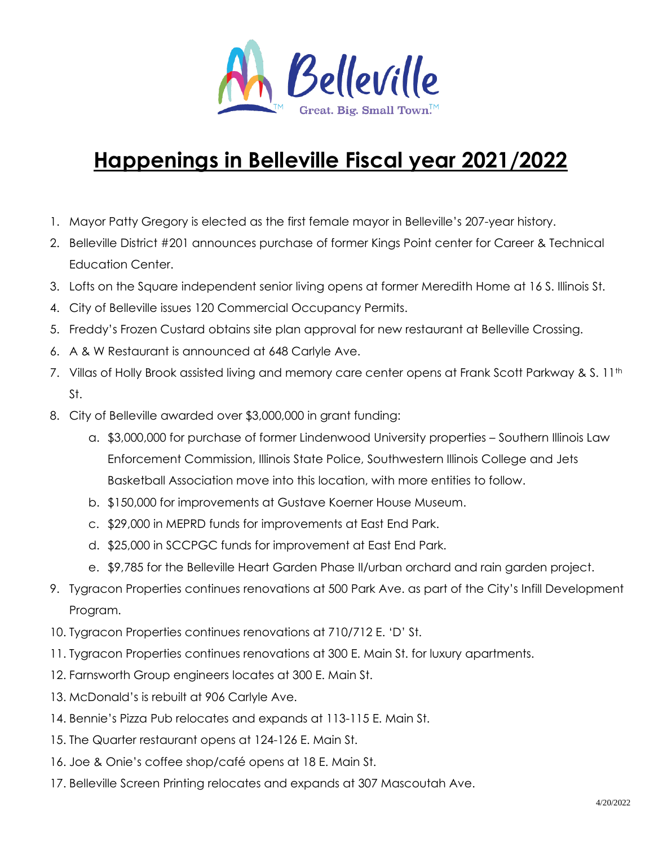

## **Happenings in Belleville Fiscal year 2021/2022**

- 1. Mayor Patty Gregory is elected as the first female mayor in Belleville's 207-year history.
- 2. Belleville District #201 announces purchase of former Kings Point center for Career & Technical Education Center.
- 3. Lofts on the Square independent senior living opens at former Meredith Home at 16 S. Illinois St.
- 4. City of Belleville issues 120 Commercial Occupancy Permits.
- 5. Freddy's Frozen Custard obtains site plan approval for new restaurant at Belleville Crossing.
- 6. A & W Restaurant is announced at 648 Carlyle Ave.
- 7. Villas of Holly Brook assisted living and memory care center opens at Frank Scott Parkway & S. 11<sup>th</sup> St.
- 8. City of Belleville awarded over \$3,000,000 in grant funding:
	- a. \$3,000,000 for purchase of former Lindenwood University properties Southern Illinois Law Enforcement Commission, Illinois State Police, Southwestern Illinois College and Jets Basketball Association move into this location, with more entities to follow.
	- b. \$150,000 for improvements at Gustave Koerner House Museum.
	- c. \$29,000 in MEPRD funds for improvements at East End Park.
	- d. \$25,000 in SCCPGC funds for improvement at East End Park.
	- e. \$9,785 for the Belleville Heart Garden Phase II/urban orchard and rain garden project.
- 9. Tygracon Properties continues renovations at 500 Park Ave. as part of the City's Infill Development Program.
- 10. Tygracon Properties continues renovations at 710/712 E. 'D' St.
- 11. Tygracon Properties continues renovations at 300 E. Main St. for luxury apartments.
- 12. Farnsworth Group engineers locates at 300 E. Main St.
- 13. McDonald's is rebuilt at 906 Carlyle Ave.
- 14. Bennie's Pizza Pub relocates and expands at 113-115 E. Main St.
- 15. The Quarter restaurant opens at 124-126 E. Main St.
- 16. Joe & Onie's coffee shop/café opens at 18 E. Main St.
- 17. Belleville Screen Printing relocates and expands at 307 Mascoutah Ave.